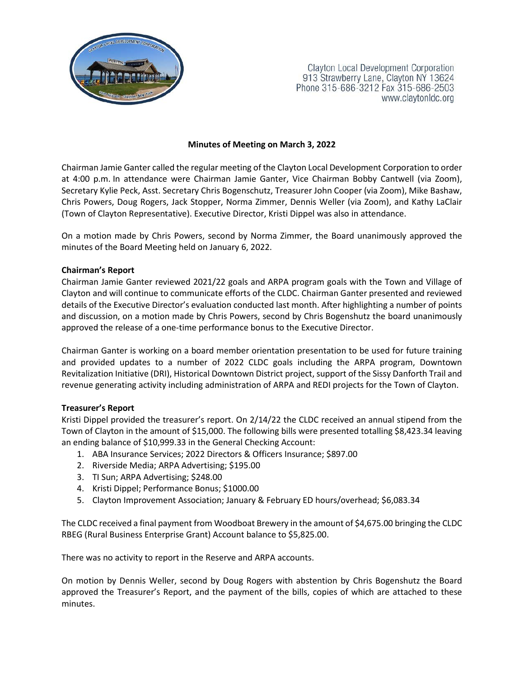

**Clayton Local Development Corporation** 913 Strawberry Lane, Clayton NY 13624 Phone 315-686-3212 Fax 315-686-2503 www.claytonIdc.org

## **Minutes of Meeting on March 3, 2022**

Chairman Jamie Ganter called the regular meeting of the Clayton Local Development Corporation to order at 4:00 p.m. In attendance were Chairman Jamie Ganter, Vice Chairman Bobby Cantwell (via Zoom), Secretary Kylie Peck, Asst. Secretary Chris Bogenschutz, Treasurer John Cooper (via Zoom), Mike Bashaw, Chris Powers, Doug Rogers, Jack Stopper, Norma Zimmer, Dennis Weller (via Zoom), and Kathy LaClair (Town of Clayton Representative). Executive Director, Kristi Dippel was also in attendance.

On a motion made by Chris Powers, second by Norma Zimmer, the Board unanimously approved the minutes of the Board Meeting held on January 6, 2022.

# **Chairman's Report**

Chairman Jamie Ganter reviewed 2021/22 goals and ARPA program goals with the Town and Village of Clayton and will continue to communicate efforts of the CLDC. Chairman Ganter presented and reviewed details of the Executive Director's evaluation conducted last month. After highlighting a number of points and discussion, on a motion made by Chris Powers, second by Chris Bogenshutz the board unanimously approved the release of a one-time performance bonus to the Executive Director.

Chairman Ganter is working on a board member orientation presentation to be used for future training and provided updates to a number of 2022 CLDC goals including the ARPA program, Downtown Revitalization Initiative (DRI), Historical Downtown District project, support of the Sissy Danforth Trail and revenue generating activity including administration of ARPA and REDI projects for the Town of Clayton.

## **Treasurer's Report**

Kristi Dippel provided the treasurer's report. On 2/14/22 the CLDC received an annual stipend from the Town of Clayton in the amount of \$15,000. The following bills were presented totalling \$8,423.34 leaving an ending balance of \$10,999.33 in the General Checking Account:

- 1. ABA Insurance Services; 2022 Directors & Officers Insurance; \$897.00
- 2. Riverside Media; ARPA Advertising; \$195.00
- 3. TI Sun; ARPA Advertising; \$248.00
- 4. Kristi Dippel; Performance Bonus; \$1000.00
- 5. Clayton Improvement Association; January & February ED hours/overhead; \$6,083.34

The CLDC received a final payment from Woodboat Brewery in the amount of \$4,675.00 bringing the CLDC RBEG (Rural Business Enterprise Grant) Account balance to \$5,825.00.

There was no activity to report in the Reserve and ARPA accounts.

On motion by Dennis Weller, second by Doug Rogers with abstention by Chris Bogenshutz the Board approved the Treasurer's Report, and the payment of the bills, copies of which are attached to these minutes.